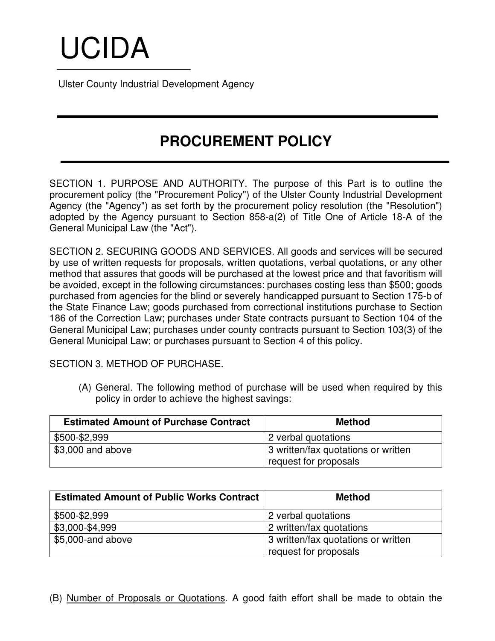# UCIDA

Ulster County Industrial Development Agency

## **PROCUREMENT POLICY**

SECTION 1. PURPOSE AND AUTHORITY. The purpose of this Part is to outline the procurement policy (the "Procurement Policy") of the Ulster County Industrial Development Agency (the "Agency") as set forth by the procurement policy resolution (the "Resolution") adopted by the Agency pursuant to Section 858-a(2) of Title One of Article 18-A of the General Municipal Law (the "Act").

SECTION 2. SECURING GOODS AND SERVICES. All goods and services will be secured by use of written requests for proposals, written quotations, verbal quotations, or any other method that assures that goods will be purchased at the lowest price and that favoritism will be avoided, except in the following circumstances: purchases costing less than \$500; goods purchased from agencies for the blind or severely handicapped pursuant to Section 175-b of the State Finance Law; goods purchased from correctional institutions purchase to Section 186 of the Correction Law; purchases under State contracts pursuant to Section 104 of the General Municipal Law; purchases under county contracts pursuant to Section 103(3) of the General Municipal Law; or purchases pursuant to Section 4 of this policy.

SECTION 3. METHOD OF PURCHASE.

(A) General. The following method of purchase will be used when required by this policy in order to achieve the highest savings:

| <b>Estimated Amount of Purchase Contract</b> | <b>Method</b>                       |
|----------------------------------------------|-------------------------------------|
| \$500-\$2,999                                | 2 verbal quotations                 |
| \$3,000 and above                            | 3 written/fax quotations or written |
|                                              | request for proposals               |

| <b>Estimated Amount of Public Works Contract</b> | <b>Method</b>                       |
|--------------------------------------------------|-------------------------------------|
| \$500-\$2,999                                    | 2 verbal quotations                 |
| \$3,000-\$4,999                                  | 2 written/fax quotations            |
| \$5,000-and above                                | 3 written/fax quotations or written |
|                                                  | request for proposals               |

(B) Number of Proposals or Quotations. A good faith effort shall be made to obtain the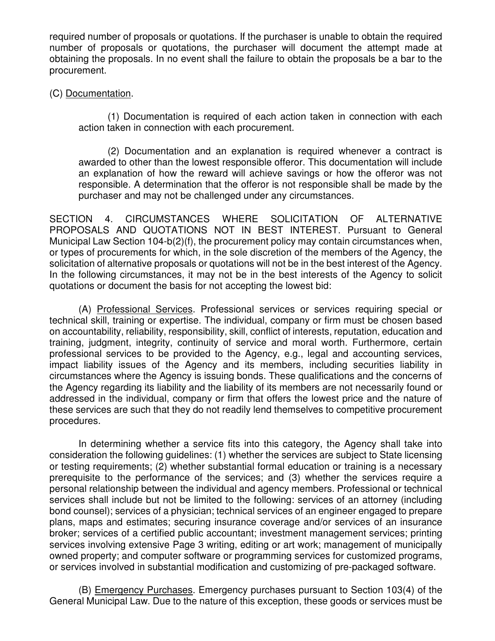required number of proposals or quotations. If the purchaser is unable to obtain the required number of proposals or quotations, the purchaser will document the attempt made at obtaining the proposals. In no event shall the failure to obtain the proposals be a bar to the procurement.

### (C) Documentation.

(1) Documentation is required of each action taken in connection with each action taken in connection with each procurement.

(2) Documentation and an explanation is required whenever a contract is awarded to other than the lowest responsible offeror. This documentation will include an explanation of how the reward will achieve savings or how the offeror was not responsible. A determination that the offeror is not responsible shall be made by the purchaser and may not be challenged under any circumstances.

SECTION 4. CIRCUMSTANCES WHERE SOLICITATION OF ALTERNATIVE PROPOSALS AND QUOTATIONS NOT IN BEST INTEREST. Pursuant to General Municipal Law Section 104-b(2)(f), the procurement policy may contain circumstances when, or types of procurements for which, in the sole discretion of the members of the Agency, the solicitation of alternative proposals or quotations will not be in the best interest of the Agency. In the following circumstances, it may not be in the best interests of the Agency to solicit quotations or document the basis for not accepting the lowest bid:

(A) Professional Services. Professional services or services requiring special or technical skill, training or expertise. The individual, company or firm must be chosen based on accountability, reliability, responsibility, skill, conflict of interests, reputation, education and training, judgment, integrity, continuity of service and moral worth. Furthermore, certain professional services to be provided to the Agency, e.g., legal and accounting services, impact liability issues of the Agency and its members, including securities liability in circumstances where the Agency is issuing bonds. These qualifications and the concerns of the Agency regarding its liability and the liability of its members are not necessarily found or addressed in the individual, company or firm that offers the lowest price and the nature of these services are such that they do not readily lend themselves to competitive procurement procedures.

In determining whether a service fits into this category, the Agency shall take into consideration the following guidelines: (1) whether the services are subject to State licensing or testing requirements; (2) whether substantial formal education or training is a necessary prerequisite to the performance of the services; and (3) whether the services require a personal relationship between the individual and agency members. Professional or technical services shall include but not be limited to the following: services of an attorney (including bond counsel); services of a physician; technical services of an engineer engaged to prepare plans, maps and estimates; securing insurance coverage and/or services of an insurance broker; services of a certified public accountant; investment management services; printing services involving extensive Page 3 writing, editing or art work; management of municipally owned property; and computer software or programming services for customized programs, or services involved in substantial modification and customizing of pre-packaged software.

(B) Emergency Purchases. Emergency purchases pursuant to Section 103(4) of the General Municipal Law. Due to the nature of this exception, these goods or services must be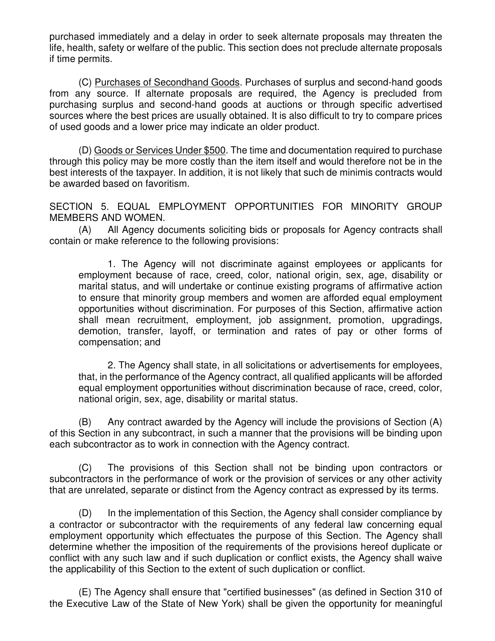purchased immediately and a delay in order to seek alternate proposals may threaten the life, health, safety or welfare of the public. This section does not preclude alternate proposals if time permits.

(C) Purchases of Secondhand Goods. Purchases of surplus and second-hand goods from any source. If alternate proposals are required, the Agency is precluded from purchasing surplus and second-hand goods at auctions or through specific advertised sources where the best prices are usually obtained. It is also difficult to try to compare prices of used goods and a lower price may indicate an older product.

(D) Goods or Services Under \$500. The time and documentation required to purchase through this policy may be more costly than the item itself and would therefore not be in the best interests of the taxpayer. In addition, it is not likely that such de minimis contracts would be awarded based on favoritism.

SECTION 5. EQUAL EMPLOYMENT OPPORTUNITIES FOR MINORITY GROUP MEMBERS AND WOMEN.

(A) All Agency documents soliciting bids or proposals for Agency contracts shall contain or make reference to the following provisions:

1. The Agency will not discriminate against employees or applicants for employment because of race, creed, color, national origin, sex, age, disability or marital status, and will undertake or continue existing programs of affirmative action to ensure that minority group members and women are afforded equal employment opportunities without discrimination. For purposes of this Section, affirmative action shall mean recruitment, employment, job assignment, promotion, upgradings, demotion, transfer, layoff, or termination and rates of pay or other forms of compensation; and

2. The Agency shall state, in all solicitations or advertisements for employees, that, in the performance of the Agency contract, all qualified applicants will be afforded equal employment opportunities without discrimination because of race, creed, color, national origin, sex, age, disability or marital status.

(B) Any contract awarded by the Agency will include the provisions of Section (A) of this Section in any subcontract, in such a manner that the provisions will be binding upon each subcontractor as to work in connection with the Agency contract.

(C) The provisions of this Section shall not be binding upon contractors or subcontractors in the performance of work or the provision of services or any other activity that are unrelated, separate or distinct from the Agency contract as expressed by its terms.

(D) In the implementation of this Section, the Agency shall consider compliance by a contractor or subcontractor with the requirements of any federal law concerning equal employment opportunity which effectuates the purpose of this Section. The Agency shall determine whether the imposition of the requirements of the provisions hereof duplicate or conflict with any such law and if such duplication or conflict exists, the Agency shall waive the applicability of this Section to the extent of such duplication or conflict.

(E) The Agency shall ensure that "certified businesses" (as defined in Section 310 of the Executive Law of the State of New York) shall be given the opportunity for meaningful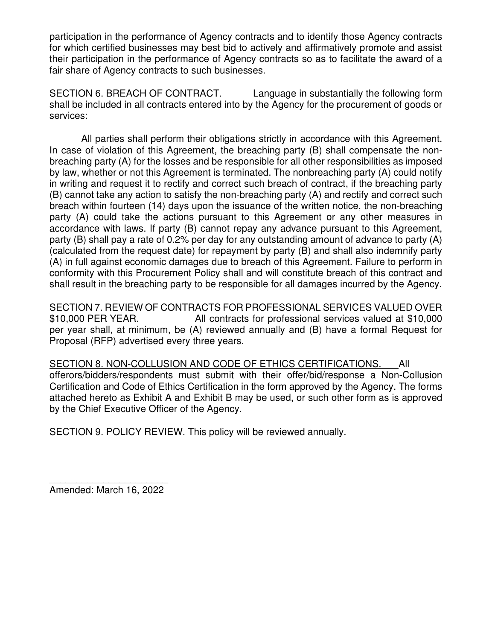participation in the performance of Agency contracts and to identify those Agency contracts for which certified businesses may best bid to actively and affirmatively promote and assist their participation in the performance of Agency contracts so as to facilitate the award of a fair share of Agency contracts to such businesses.

SECTION 6. BREACH OF CONTRACT. Language in substantially the following form shall be included in all contracts entered into by the Agency for the procurement of goods or services:

 All parties shall perform their obligations strictly in accordance with this Agreement. In case of violation of this Agreement, the breaching party (B) shall compensate the nonbreaching party (A) for the losses and be responsible for all other responsibilities as imposed by law, whether or not this Agreement is terminated. The nonbreaching party (A) could notify in writing and request it to rectify and correct such breach of contract, if the breaching party (B) cannot take any action to satisfy the non-breaching party (A) and rectify and correct such breach within fourteen (14) days upon the issuance of the written notice, the non-breaching party (A) could take the actions pursuant to this Agreement or any other measures in accordance with laws. If party (B) cannot repay any advance pursuant to this Agreement, party (B) shall pay a rate of 0.2% per day for any outstanding amount of advance to party (A) (calculated from the request date) for repayment by party (B) and shall also indemnify party (A) in full against economic damages due to breach of this Agreement. Failure to perform in conformity with this Procurement Policy shall and will constitute breach of this contract and shall result in the breaching party to be responsible for all damages incurred by the Agency.

SECTION 7. REVIEW OF CONTRACTS FOR PROFESSIONAL SERVICES VALUED OVER \$10,000 PER YEAR. All contracts for professional services valued at \$10,000 per year shall, at minimum, be (A) reviewed annually and (B) have a formal Request for Proposal (RFP) advertised every three years.

SECTION 8. NON-COLLUSION AND CODE OF ETHICS CERTIFICATIONS. All offerors/bidders/respondents must submit with their offer/bid/response a Non-Collusion Certification and Code of Ethics Certification in the form approved by the Agency. The forms attached hereto as Exhibit A and Exhibit B may be used, or such other form as is approved by the Chief Executive Officer of the Agency.

SECTION 9. POLICY REVIEW. This policy will be reviewed annually.

\_\_\_\_\_\_\_\_\_\_\_\_\_\_\_\_\_\_\_\_\_\_ Amended: March 16, 2022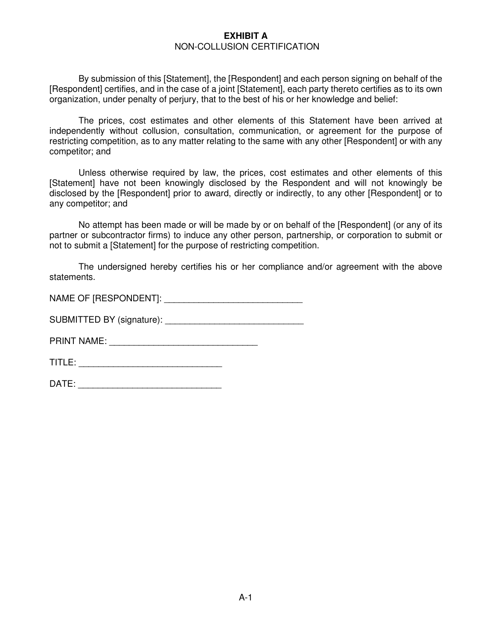#### **EXHIBIT A**  NON-COLLUSION CERTIFICATION

By submission of this [Statement], the [Respondent] and each person signing on behalf of the [Respondent] certifies, and in the case of a joint [Statement], each party thereto certifies as to its own organization, under penalty of perjury, that to the best of his or her knowledge and belief:

The prices, cost estimates and other elements of this Statement have been arrived at independently without collusion, consultation, communication, or agreement for the purpose of restricting competition, as to any matter relating to the same with any other [Respondent] or with any competitor; and

Unless otherwise required by law, the prices, cost estimates and other elements of this [Statement] have not been knowingly disclosed by the Respondent and will not knowingly be disclosed by the [Respondent] prior to award, directly or indirectly, to any other [Respondent] or to any competitor; and

No attempt has been made or will be made by or on behalf of the [Respondent] (or any of its partner or subcontractor firms) to induce any other person, partnership, or corporation to submit or not to submit a [Statement] for the purpose of restricting competition.

The undersigned hereby certifies his or her compliance and/or agreement with the above statements.

NAME OF [RESPONDENT]:

SUBMITTED BY (signature): \_\_\_\_\_\_\_\_\_\_\_\_\_\_\_\_\_\_\_\_\_\_\_\_\_\_\_\_

PRINT NAME: \_\_\_\_\_\_\_\_\_\_\_\_\_\_\_\_\_\_\_\_\_\_\_\_\_\_\_\_\_\_

TITLE: \_\_\_\_\_\_\_\_\_\_\_\_\_\_\_\_\_\_\_\_\_\_\_\_\_\_\_\_\_

| <b>DATE</b><br>- - |  |
|--------------------|--|
|                    |  |
|                    |  |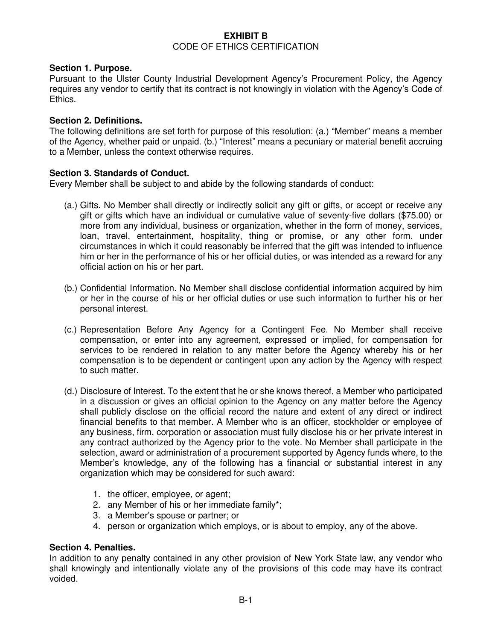#### **EXHIBIT B**  CODE OF ETHICS CERTIFICATION

#### **Section 1. Purpose.**

Pursuant to the Ulster County Industrial Development Agency's Procurement Policy, the Agency requires any vendor to certify that its contract is not knowingly in violation with the Agency's Code of Ethics.

#### **Section 2. Definitions.**

The following definitions are set forth for purpose of this resolution: (a.) "Member" means a member of the Agency, whether paid or unpaid. (b.) "Interest" means a pecuniary or material benefit accruing to a Member, unless the context otherwise requires.

#### **Section 3. Standards of Conduct.**

Every Member shall be subject to and abide by the following standards of conduct:

- (a.) Gifts. No Member shall directly or indirectly solicit any gift or gifts, or accept or receive any gift or gifts which have an individual or cumulative value of seventy-five dollars (\$75.00) or more from any individual, business or organization, whether in the form of money, services, loan, travel, entertainment, hospitality, thing or promise, or any other form, under circumstances in which it could reasonably be inferred that the gift was intended to influence him or her in the performance of his or her official duties, or was intended as a reward for any official action on his or her part.
- (b.) Confidential Information. No Member shall disclose confidential information acquired by him or her in the course of his or her official duties or use such information to further his or her personal interest.
- (c.) Representation Before Any Agency for a Contingent Fee. No Member shall receive compensation, or enter into any agreement, expressed or implied, for compensation for services to be rendered in relation to any matter before the Agency whereby his or her compensation is to be dependent or contingent upon any action by the Agency with respect to such matter.
- (d.) Disclosure of Interest. To the extent that he or she knows thereof, a Member who participated in a discussion or gives an official opinion to the Agency on any matter before the Agency shall publicly disclose on the official record the nature and extent of any direct or indirect financial benefits to that member. A Member who is an officer, stockholder or employee of any business, firm, corporation or association must fully disclose his or her private interest in any contract authorized by the Agency prior to the vote. No Member shall participate in the selection, award or administration of a procurement supported by Agency funds where, to the Member's knowledge, any of the following has a financial or substantial interest in any organization which may be considered for such award:
	- 1. the officer, employee, or agent;
	- 2. any Member of his or her immediate family\*;
	- 3. a Member's spouse or partner; or
	- 4. person or organization which employs, or is about to employ, any of the above.

#### **Section 4. Penalties.**

In addition to any penalty contained in any other provision of New York State law, any vendor who shall knowingly and intentionally violate any of the provisions of this code may have its contract voided.